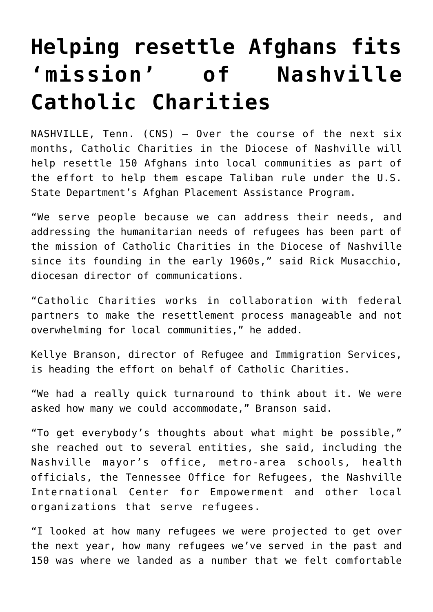## **[Helping resettle Afghans fits](https://www.osvnews.com/2021/09/20/helping-resettle-afghans-fits-mission-of-nashville-catholic-charities/) ['mission' of Nashville](https://www.osvnews.com/2021/09/20/helping-resettle-afghans-fits-mission-of-nashville-catholic-charities/) [Catholic Charities](https://www.osvnews.com/2021/09/20/helping-resettle-afghans-fits-mission-of-nashville-catholic-charities/)**

NASHVILLE, Tenn. (CNS) — Over the course of the next six months, Catholic Charities in the Diocese of Nashville will help resettle 150 Afghans into local communities as part of the effort to help them escape Taliban rule under the U.S. State Department's Afghan Placement Assistance Program.

"We serve people because we can address their needs, and addressing the humanitarian needs of refugees has been part of the mission of Catholic Charities in the Diocese of Nashville since its founding in the early 1960s," said Rick Musacchio, diocesan director of communications.

"Catholic Charities works in collaboration with federal partners to make the resettlement process manageable and not overwhelming for local communities," he added.

Kellye Branson, director of Refugee and Immigration Services, is heading the effort on behalf of Catholic Charities.

"We had a really quick turnaround to think about it. We were asked how many we could accommodate," Branson said.

"To get everybody's thoughts about what might be possible," she reached out to several entities, she said, including the Nashville mayor's office, metro-area schools, health officials, the Tennessee Office for Refugees, the Nashville International Center for Empowerment and other local organizations that serve refugees.

"I looked at how many refugees we were projected to get over the next year, how many refugees we've served in the past and 150 was where we landed as a number that we felt comfortable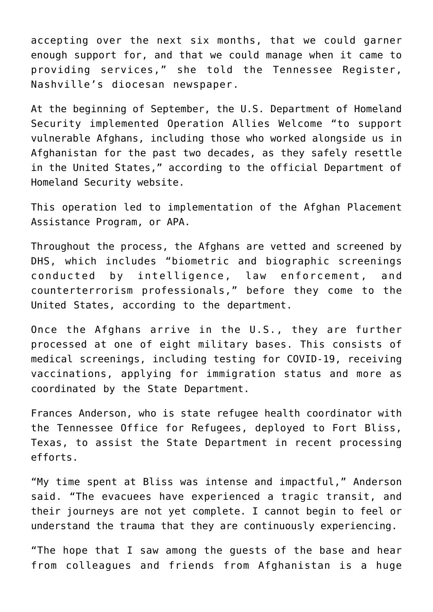accepting over the next six months, that we could garner enough support for, and that we could manage when it came to providing services," she told the Tennessee Register, Nashville's diocesan newspaper.

At the beginning of September, the U.S. Department of Homeland Security implemented Operation Allies Welcome "to support vulnerable Afghans, including those who worked alongside us in Afghanistan for the past two decades, as they safely resettle in the United States," according to the official Department of Homeland Security website.

This operation led to implementation of the Afghan Placement Assistance Program, or APA.

Throughout the process, the Afghans are vetted and screened by DHS, which includes "biometric and biographic screenings conducted by intelligence, law enforcement, and counterterrorism professionals," before they come to the United States, according to the department.

Once the Afghans arrive in the U.S., they are further processed at one of eight military bases. This consists of medical screenings, including testing for COVID-19, receiving vaccinations, applying for immigration status and more as coordinated by the State Department.

Frances Anderson, who is state refugee health coordinator with the Tennessee Office for Refugees, deployed to Fort Bliss, Texas, to assist the State Department in recent processing efforts.

"My time spent at Bliss was intense and impactful," Anderson said. "The evacuees have experienced a tragic transit, and their journeys are not yet complete. I cannot begin to feel or understand the trauma that they are continuously experiencing.

"The hope that I saw among the guests of the base and hear from colleagues and friends from Afghanistan is a huge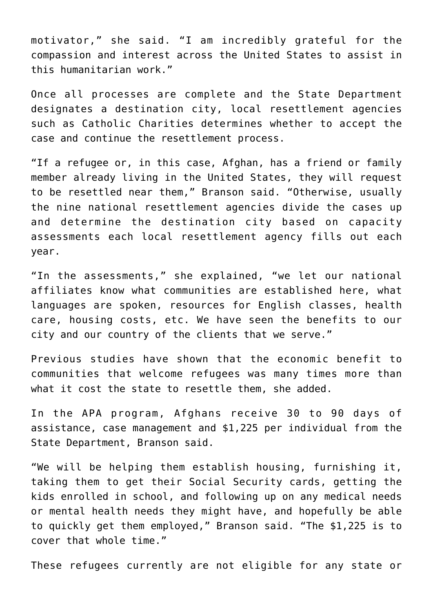motivator," she said. "I am incredibly grateful for the compassion and interest across the United States to assist in this humanitarian work."

Once all processes are complete and the State Department designates a destination city, local resettlement agencies such as Catholic Charities determines whether to accept the case and continue the resettlement process.

"If a refugee or, in this case, Afghan, has a friend or family member already living in the United States, they will request to be resettled near them," Branson said. "Otherwise, usually the nine national resettlement agencies divide the cases up and determine the destination city based on capacity assessments each local resettlement agency fills out each year.

"In the assessments," she explained, "we let our national affiliates know what communities are established here, what languages are spoken, resources for English classes, health care, housing costs, etc. We have seen the benefits to our city and our country of the clients that we serve."

Previous studies have shown that the economic benefit to communities that welcome refugees was many times more than what it cost the state to resettle them, she added.

In the APA program, Afghans receive 30 to 90 days of assistance, case management and \$1,225 per individual from the State Department, Branson said.

"We will be helping them establish housing, furnishing it, taking them to get their Social Security cards, getting the kids enrolled in school, and following up on any medical needs or mental health needs they might have, and hopefully be able to quickly get them employed," Branson said. "The \$1,225 is to cover that whole time."

These refugees currently are not eligible for any state or